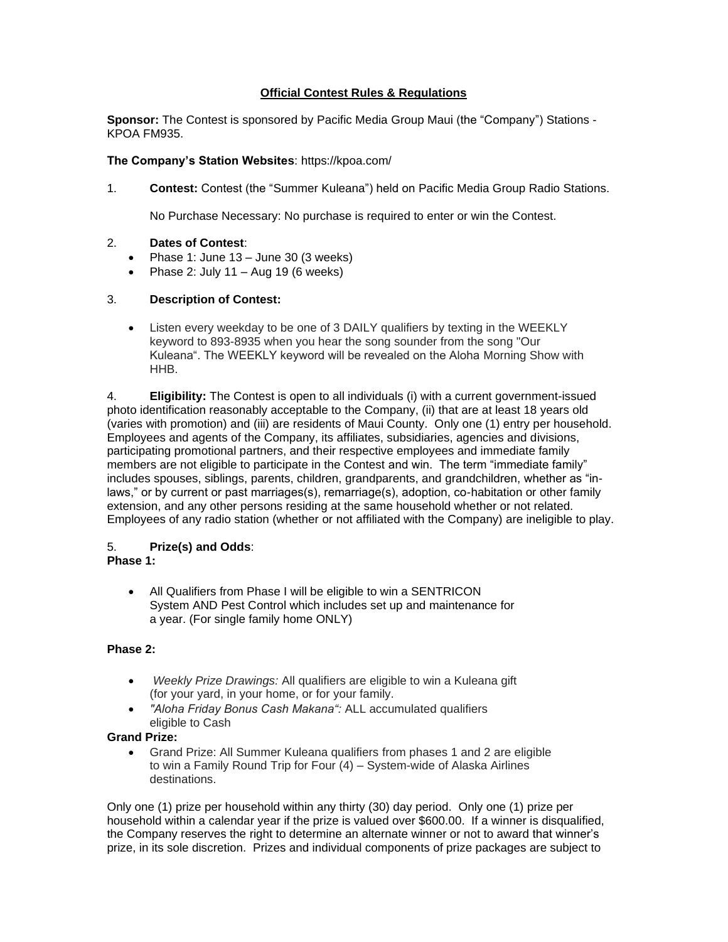# **Official Contest Rules & Regulations**

**Sponsor:** The Contest is sponsored by Pacific Media Group Maui (the "Company") Stations - KPOA FM935.

#### **The Company's Station Websites**: https://kpoa.com/

1. **Contest:** Contest (the "Summer Kuleana") held on Pacific Media Group Radio Stations.

No Purchase Necessary: No purchase is required to enter or win the Contest.

#### 2. **Dates of Contest**:

- Phase 1: June 13 June 30 (3 weeks)
- Phase 2: July  $11 \text{Aug } 19$  (6 weeks)

#### 3. **Description of Contest:**

• Listen every weekday to be one of 3 DAILY qualifiers by texting in the WEEKLY keyword to 893-8935 when you hear the song sounder from the song "Our Kuleana". The WEEKLY keyword will be revealed on the Aloha Morning Show with HHB.

4. **Eligibility:** The Contest is open to all individuals (i) with a current government-issued photo identification reasonably acceptable to the Company, (ii) that are at least 18 years old (varies with promotion) and (iii) are residents of Maui County. Only one (1) entry per household. Employees and agents of the Company, its affiliates, subsidiaries, agencies and divisions, participating promotional partners, and their respective employees and immediate family members are not eligible to participate in the Contest and win. The term "immediate family" includes spouses, siblings, parents, children, grandparents, and grandchildren, whether as "inlaws," or by current or past marriages(s), remarriage(s), adoption, co-habitation or other family extension, and any other persons residing at the same household whether or not related. Employees of any radio station (whether or not affiliated with the Company) are ineligible to play.

## 5. **Prize(s) and Odds**:

## **Phase 1:**

• All Qualifiers from Phase I will be eligible to win a SENTRICON System AND Pest Control which includes set up and maintenance for a year. (For single family home ONLY)

## **Phase 2:**

- *Weekly Prize Drawings:* All qualifiers are eligible to win a Kuleana gift (for your yard, in your home, or for your family.
- *"Aloha Friday Bonus Cash Makana":* ALL accumulated qualifiers eligible to Cash

## **Grand Prize:**

• Grand Prize: All Summer Kuleana qualifiers from phases 1 and 2 are eligible to win a Family Round Trip for Four (4) – System-wide of Alaska Airlines destinations.

Only one (1) prize per household within any thirty (30) day period. Only one (1) prize per household within a calendar year if the prize is valued over \$600.00. If a winner is disqualified, the Company reserves the right to determine an alternate winner or not to award that winner's prize, in its sole discretion. Prizes and individual components of prize packages are subject to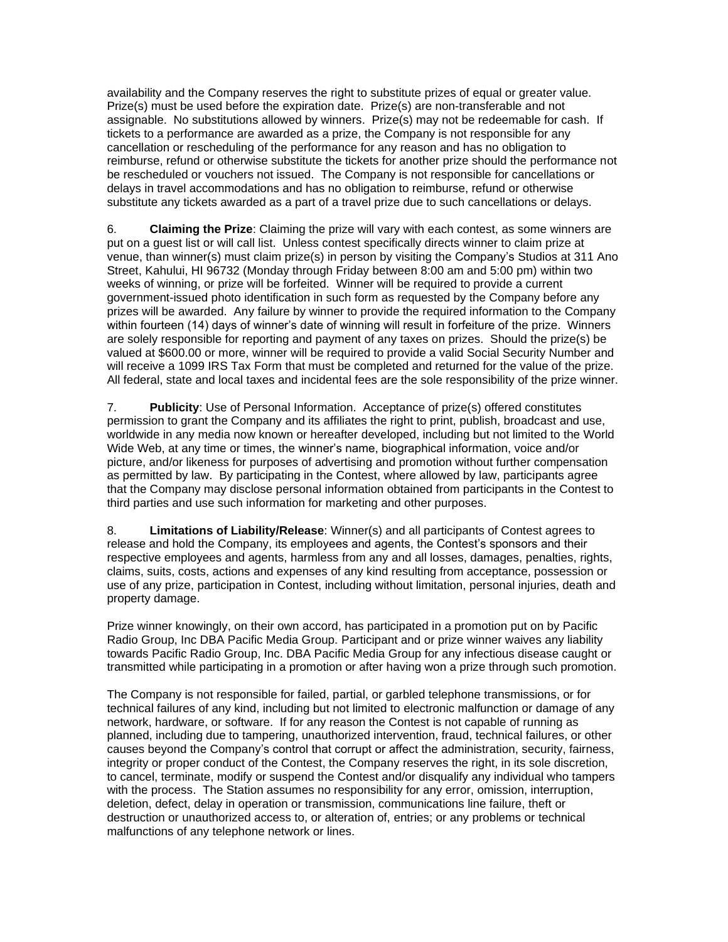availability and the Company reserves the right to substitute prizes of equal or greater value. Prize(s) must be used before the expiration date. Prize(s) are non-transferable and not assignable. No substitutions allowed by winners. Prize(s) may not be redeemable for cash. If tickets to a performance are awarded as a prize, the Company is not responsible for any cancellation or rescheduling of the performance for any reason and has no obligation to reimburse, refund or otherwise substitute the tickets for another prize should the performance not be rescheduled or vouchers not issued. The Company is not responsible for cancellations or delays in travel accommodations and has no obligation to reimburse, refund or otherwise substitute any tickets awarded as a part of a travel prize due to such cancellations or delays.

6. **Claiming the Prize**: Claiming the prize will vary with each contest, as some winners are put on a guest list or will call list. Unless contest specifically directs winner to claim prize at venue, than winner(s) must claim prize(s) in person by visiting the Company's Studios at 311 Ano Street, Kahului, HI 96732 (Monday through Friday between 8:00 am and 5:00 pm) within two weeks of winning, or prize will be forfeited. Winner will be required to provide a current government-issued photo identification in such form as requested by the Company before any prizes will be awarded. Any failure by winner to provide the required information to the Company within fourteen (14) days of winner's date of winning will result in forfeiture of the prize. Winners are solely responsible for reporting and payment of any taxes on prizes. Should the prize(s) be valued at \$600.00 or more, winner will be required to provide a valid Social Security Number and will receive a 1099 IRS Tax Form that must be completed and returned for the value of the prize. All federal, state and local taxes and incidental fees are the sole responsibility of the prize winner.

7. **Publicity**: Use of Personal Information. Acceptance of prize(s) offered constitutes permission to grant the Company and its affiliates the right to print, publish, broadcast and use, worldwide in any media now known or hereafter developed, including but not limited to the World Wide Web, at any time or times, the winner's name, biographical information, voice and/or picture, and/or likeness for purposes of advertising and promotion without further compensation as permitted by law. By participating in the Contest, where allowed by law, participants agree that the Company may disclose personal information obtained from participants in the Contest to third parties and use such information for marketing and other purposes.

8. **Limitations of Liability/Release**: Winner(s) and all participants of Contest agrees to release and hold the Company, its employees and agents, the Contest's sponsors and their respective employees and agents, harmless from any and all losses, damages, penalties, rights, claims, suits, costs, actions and expenses of any kind resulting from acceptance, possession or use of any prize, participation in Contest, including without limitation, personal injuries, death and property damage.

Prize winner knowingly, on their own accord, has participated in a promotion put on by Pacific Radio Group, Inc DBA Pacific Media Group. Participant and or prize winner waives any liability towards Pacific Radio Group, Inc. DBA Pacific Media Group for any infectious disease caught or transmitted while participating in a promotion or after having won a prize through such promotion.

The Company is not responsible for failed, partial, or garbled telephone transmissions, or for technical failures of any kind, including but not limited to electronic malfunction or damage of any network, hardware, or software. If for any reason the Contest is not capable of running as planned, including due to tampering, unauthorized intervention, fraud, technical failures, or other causes beyond the Company's control that corrupt or affect the administration, security, fairness, integrity or proper conduct of the Contest, the Company reserves the right, in its sole discretion, to cancel, terminate, modify or suspend the Contest and/or disqualify any individual who tampers with the process. The Station assumes no responsibility for any error, omission, interruption, deletion, defect, delay in operation or transmission, communications line failure, theft or destruction or unauthorized access to, or alteration of, entries; or any problems or technical malfunctions of any telephone network or lines.